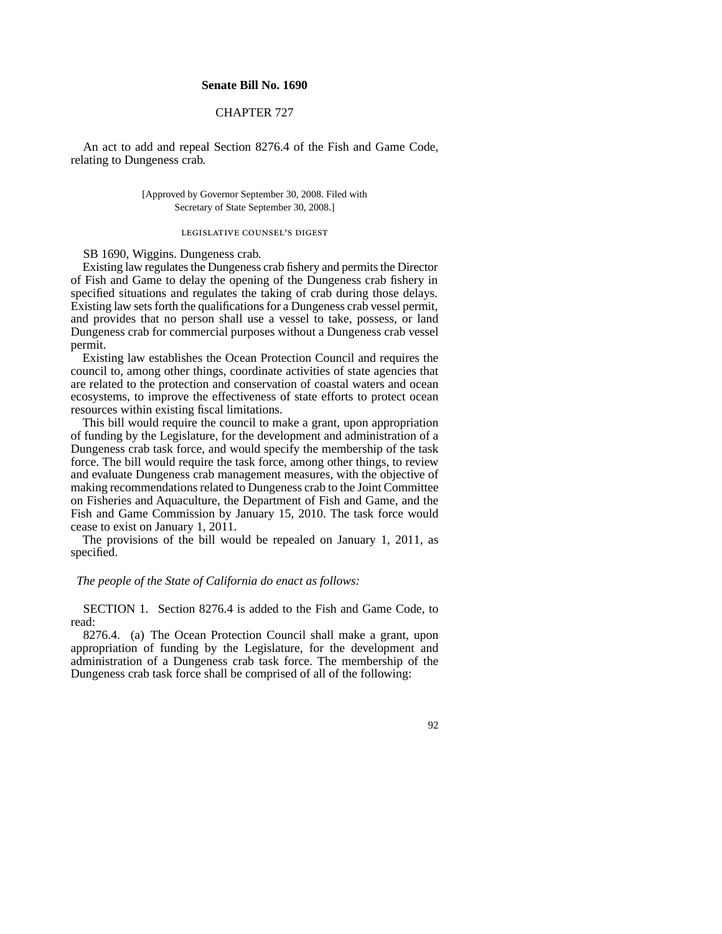## **Senate Bill No. 1690**

## CHAPTER 727

An act to add and repeal Section 8276.4 of the Fish and Game Code, relating to Dungeness crab.

> [Approved by Governor September 30, 2008. Filed with Secretary of State September 30, 2008.]

## legislative counsel's digest

SB 1690, Wiggins. Dungeness crab.

Existing law regulates the Dungeness crab fishery and permits the Director of Fish and Game to delay the opening of the Dungeness crab fishery in specified situations and regulates the taking of crab during those delays. Existing law sets forth the qualifications for a Dungeness crab vessel permit, and provides that no person shall use a vessel to take, possess, or land Dungeness crab for commercial purposes without a Dungeness crab vessel permit.

Existing law establishes the Ocean Protection Council and requires the council to, among other things, coordinate activities of state agencies that are related to the protection and conservation of coastal waters and ocean ecosystems, to improve the effectiveness of state efforts to protect ocean resources within existing fiscal limitations.

This bill would require the council to make a grant, upon appropriation of funding by the Legislature, for the development and administration of a Dungeness crab task force, and would specify the membership of the task force. The bill would require the task force, among other things, to review and evaluate Dungeness crab management measures, with the objective of making recommendations related to Dungeness crab to the Joint Committee on Fisheries and Aquaculture, the Department of Fish and Game, and the Fish and Game Commission by January 15, 2010. The task force would cease to exist on January 1, 2011.

The provisions of the bill would be repealed on January 1, 2011, as specified.

## *The people of the State of California do enact as follows:*

SECTION 1. Section 8276.4 is added to the Fish and Game Code, to read:

8276.4. (a) The Ocean Protection Council shall make a grant, upon appropriation of funding by the Legislature, for the development and administration of a Dungeness crab task force. The membership of the Dungeness crab task force shall be comprised of all of the following:

92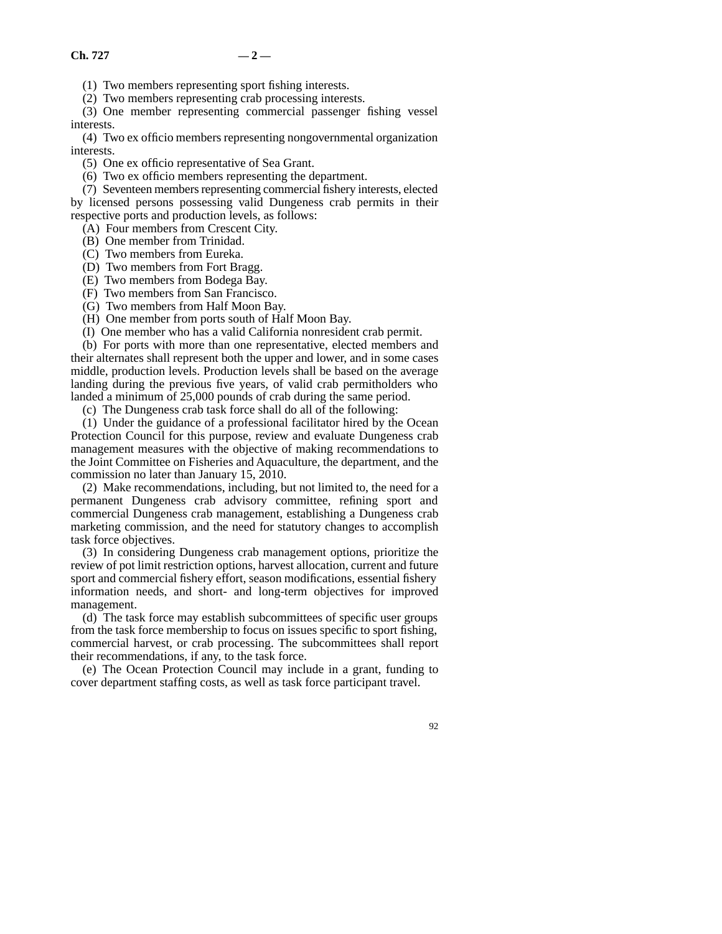(1) Two members representing sport fishing interests.

(2) Two members representing crab processing interests.

(3) One member representing commercial passenger fishing vessel interests.

(4) Two ex officio members representing nongovernmental organization interests.

(5) One ex officio representative of Sea Grant.

(6) Two ex officio members representing the department.

(7) Seventeen members representing commercial fishery interests, elected

by licensed persons possessing valid Dungeness crab permits in their respective ports and production levels, as follows:

(A) Four members from Crescent City.

(B) One member from Trinidad.

(C) Two members from Eureka.

(D) Two members from Fort Bragg.

(E) Two members from Bodega Bay.

(F) Two members from San Francisco. (G) Two members from Half Moon Bay.

(H) One member from ports south of Half Moon Bay.

(I) One member who has a valid California nonresident crab permit.

(b) For ports with more than one representative, elected members and their alternates shall represent both the upper and lower, and in some cases middle, production levels. Production levels shall be based on the average landing during the previous five years, of valid crab permitholders who landed a minimum of 25,000 pounds of crab during the same period.

(c) The Dungeness crab task force shall do all of the following:

(1) Under the guidance of a professional facilitator hired by the Ocean Protection Council for this purpose, review and evaluate Dungeness crab management measures with the objective of making recommendations to the Joint Committee on Fisheries and Aquaculture, the department, and the commission no later than January 15, 2010.

(2) Make recommendations, including, but not limited to, the need for a permanent Dungeness crab advisory committee, refining sport and commercial Dungeness crab management, establishing a Dungeness crab marketing commission, and the need for statutory changes to accomplish task force objectives.

(3) In considering Dungeness crab management options, prioritize the review of pot limit restriction options, harvest allocation, current and future sport and commercial fishery effort, season modifications, essential fishery information needs, and short- and long-term objectives for improved management.

(d) The task force may establish subcommittees of specific user groups from the task force membership to focus on issues specific to sport fishing, commercial harvest, or crab processing. The subcommittees shall report their recommendations, if any, to the task force.

(e) The Ocean Protection Council may include in a grant, funding to cover department staffing costs, as well as task force participant travel.

92